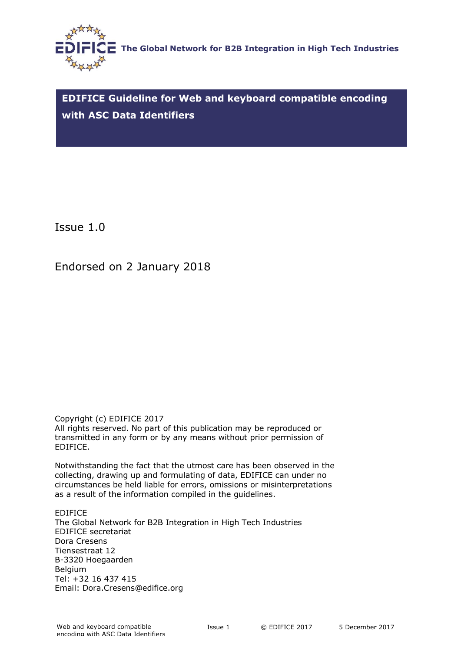<span id="page-0-0"></span>

**EDIFICE Guideline for Web and keyboard compatible encoding with ASC Data Identifiers**

Issue 1.0

Endorsed on 2 January 2018

Copyright (c) EDIFICE 2017 All rights reserved. No part of this publication may be reproduced or transmitted in any form or by any means without prior permission of EDIFICE.

Notwithstanding the fact that the utmost care has been observed in the collecting, drawing up and formulating of data, EDIFICE can under no circumstances be held liable for errors, omissions or misinterpretations as a result of the information compiled in the guidelines.

EDIFICE The Global Network for B2B Integration in High Tech Industries EDIFICE secretariat Dora Cresens Tiensestraat 12 B-3320 Hoegaarden Belgium Tel: +32 16 437 415 Email: Dora.Cresens@edifice.org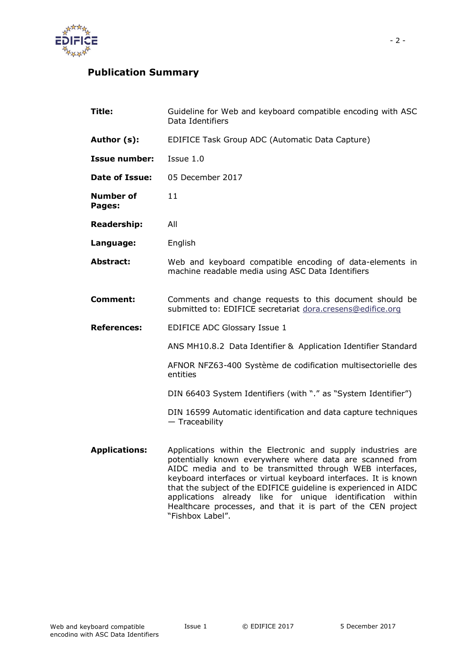

# **Publication Summary**

| Title:                     | Guideline for Web and keyboard compatible encoding with ASC<br>Data Identifiers                                                                                                                                                                                                                                             |  |  |
|----------------------------|-----------------------------------------------------------------------------------------------------------------------------------------------------------------------------------------------------------------------------------------------------------------------------------------------------------------------------|--|--|
| Author (s):                | EDIFICE Task Group ADC (Automatic Data Capture)                                                                                                                                                                                                                                                                             |  |  |
| <b>Issue number:</b>       | Issue 1.0                                                                                                                                                                                                                                                                                                                   |  |  |
| <b>Date of Issue:</b>      | 05 December 2017                                                                                                                                                                                                                                                                                                            |  |  |
| <b>Number of</b><br>Pages: | 11                                                                                                                                                                                                                                                                                                                          |  |  |
| <b>Readership:</b>         | All                                                                                                                                                                                                                                                                                                                         |  |  |
| Language:                  | English                                                                                                                                                                                                                                                                                                                     |  |  |
| <b>Abstract:</b>           | Web and keyboard compatible encoding of data-elements in<br>machine readable media using ASC Data Identifiers                                                                                                                                                                                                               |  |  |
| <b>Comment:</b>            | Comments and change requests to this document should be<br>submitted to: EDIFICE secretariat dora.cresens@edifice.org                                                                                                                                                                                                       |  |  |
| <b>References:</b>         | <b>EDIFICE ADC Glossary Issue 1</b>                                                                                                                                                                                                                                                                                         |  |  |
|                            | ANS MH10.8.2 Data Identifier & Application Identifier Standard                                                                                                                                                                                                                                                              |  |  |
|                            | AFNOR NFZ63-400 Système de codification multisectorielle des<br>entities                                                                                                                                                                                                                                                    |  |  |
|                            | DIN 66403 System Identifiers (with "." as "System Identifier")                                                                                                                                                                                                                                                              |  |  |
|                            | DIN 16599 Automatic identification and data capture techniques<br>- Traceability                                                                                                                                                                                                                                            |  |  |
| <b>Applications:</b>       | Applications within the Electronic and supply industries are<br>potentially known everywhere where data are scanned from<br>AIDC media and to be transmitted through WEB interfaces,<br>keyboard interfaces or virtual keyboard interfaces. It is known<br>that the subject of the EDIFICE guideline is experienced in AIDC |  |  |

"Fishbox Label".

applications already like for unique identification within Healthcare processes, and that it is part of the CEN project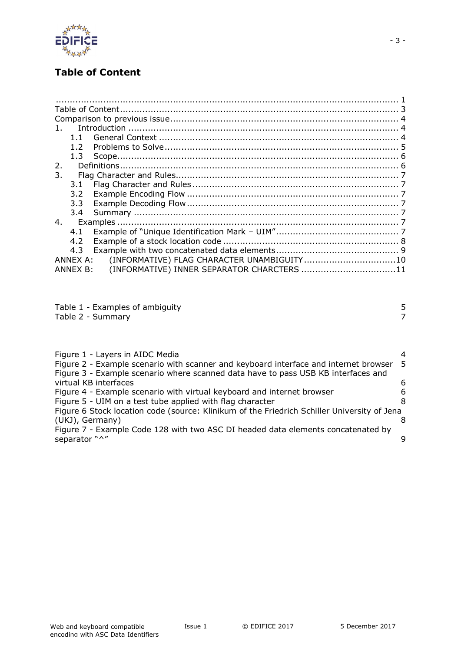

# <span id="page-2-0"></span>**Table of Content**

| $\mathbf{1}$ |               |                                            |  |
|--------------|---------------|--------------------------------------------|--|
|              | $1 \; 1$      |                                            |  |
|              | 12            |                                            |  |
|              | 1.3           |                                            |  |
| 2.           |               |                                            |  |
| 3.           |               |                                            |  |
|              | 3.1           |                                            |  |
|              | $3.2^{\circ}$ |                                            |  |
|              | 3.3           |                                            |  |
|              | 3.4           |                                            |  |
| 4.           |               |                                            |  |
|              | 4.1           |                                            |  |
|              | 4.2           |                                            |  |
|              | 4.3           |                                            |  |
|              | ANNEX A:      | (INFORMATIVE) FLAG CHARACTER UNAMBIGUITY10 |  |
|              | ANNEX B:      | (INFORMATIVE) INNER SEPARATOR CHARCTERS 11 |  |
|              |               |                                            |  |

| Table 1 - Examples of ambiguity |  |
|---------------------------------|--|
| Table 2 - Summary               |  |

| I<br>٦<br>I |  |
|-------------|--|
| ×<br>۰.     |  |
|             |  |
| I           |  |

- 3 -

| Figure 1 - Layers in AIDC Media                                                             | $\overline{4}$ |
|---------------------------------------------------------------------------------------------|----------------|
| Figure 2 - Example scenario with scanner and keyboard interface and internet browser 5      |                |
| Figure 3 - Example scenario where scanned data have to pass USB KB interfaces and           |                |
| virtual KB interfaces                                                                       | 6              |
| Figure 4 - Example scenario with virtual keyboard and internet browser                      | 6              |
| Figure 5 - UIM on a test tube applied with flag character                                   | 8              |
| Figure 6 Stock location code (source: Klinikum of the Friedrich Schiller University of Jena |                |
| (UKJ), Germany)                                                                             |                |
| Figure 7 - Example Code 128 with two ASC DI headed data elements concatenated by            |                |
| separator "^"                                                                               | 9              |
|                                                                                             |                |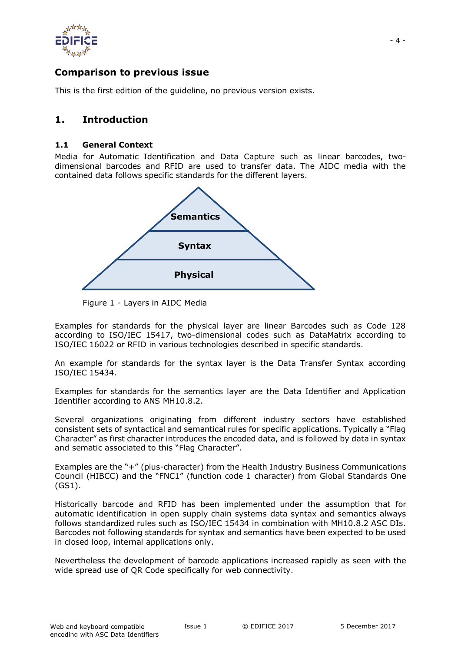

# <span id="page-3-0"></span>**Comparison to previous issue**

This is the first edition of the guideline, no previous version exists.

## <span id="page-3-1"></span>**1. Introduction**

#### <span id="page-3-2"></span>**1.1 General Context**

Media for Automatic Identification and Data Capture such as linear barcodes, twodimensional barcodes and RFID are used to transfer data. The AIDC media with the contained data follows specific standards for the different layers.



Figure 1 - Layers in AIDC Media

Examples for standards for the physical layer are linear Barcodes such as Code 128 according to ISO/IEC 15417, two-dimensional codes such as DataMatrix according to ISO/IEC 16022 or RFID in various technologies described in specific standards.

An example for standards for the syntax layer is the Data Transfer Syntax according ISO/IEC 15434.

Examples for standards for the semantics layer are the Data Identifier and Application Identifier according to ANS MH10.8.2.

Several organizations originating from different industry sectors have established consistent sets of syntactical and semantical rules for specific applications. Typically a "Flag Character" as first character introduces the encoded data, and is followed by data in syntax and sematic associated to this "Flag Character".

Examples are the "+" (plus-character) from the Health Industry Business Communications Council (HIBCC) and the "FNC1" (function code 1 character) from Global Standards One (GS1).

Historically barcode and RFID has been implemented under the assumption that for automatic identification in open supply chain systems data syntax and semantics always follows standardized rules such as ISO/IEC 15434 in combination with MH10.8.2 ASC DIs. Barcodes not following standards for syntax and semantics have been expected to be used in closed loop, internal applications only.

Nevertheless the development of barcode applications increased rapidly as seen with the wide spread use of QR Code specifically for web connectivity.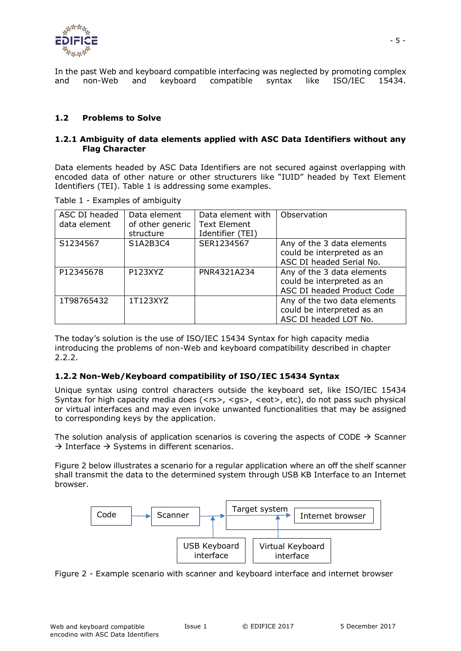

In the past Web and keyboard compatible interfacing was neglected by promoting complex and non-Web and keyboard compatible syntax like ISO/IEC 15434.

### <span id="page-4-0"></span>**1.2 Problems to Solve**

#### **1.2.1 Ambiguity of data elements applied with ASC Data Identifiers without any Flag Character**

Data elements headed by ASC Data Identifiers are not secured against overlapping with encoded data of other nature or other structurers like "IUID" headed by Text Element Identifiers (TEI). Table 1 is addressing some examples.

<span id="page-4-1"></span>Table 1 - Examples of ambiguity

| ASC DI headed<br>data element | Data element<br>of other generic<br>structure | Data element with<br><b>Text Element</b><br>Identifier (TEI) | Observation                                                                            |
|-------------------------------|-----------------------------------------------|--------------------------------------------------------------|----------------------------------------------------------------------------------------|
| S1234567                      | S1A2B3C4                                      | SER1234567                                                   | Any of the 3 data elements<br>could be interpreted as an<br>ASC DI headed Serial No.   |
| P12345678                     | P123XYZ                                       | PNR4321A234                                                  | Any of the 3 data elements<br>could be interpreted as an<br>ASC DI headed Product Code |
| 1T98765432                    | 1T123XYZ                                      |                                                              | Any of the two data elements<br>could be interpreted as an<br>ASC DI headed LOT No.    |

The today's solution is the use of ISO/IEC 15434 Syntax for high capacity media introducing the problems of non-Web and keyboard compatibility described in chapter 2.2.2.

### **1.2.2 Non-Web/Keyboard compatibility of ISO/IEC 15434 Syntax**

Unique syntax using control characters outside the keyboard set, like ISO/IEC 15434 Syntax for high capacity media does (<rs>, <gs>, <eot>, etc), do not pass such physical or virtual interfaces and may even invoke unwanted functionalities that may be assigned to corresponding keys by the application.

The solution analysis of application scenarios is covering the aspects of CODE  $\rightarrow$  Scanner  $\rightarrow$  Interface  $\rightarrow$  Systems in different scenarios.

Figure 2 below illustrates a scenario for a regular application where an off the shelf scanner shall transmit the data to the determined system through USB KB Interface to an Internet browser.



<span id="page-4-2"></span>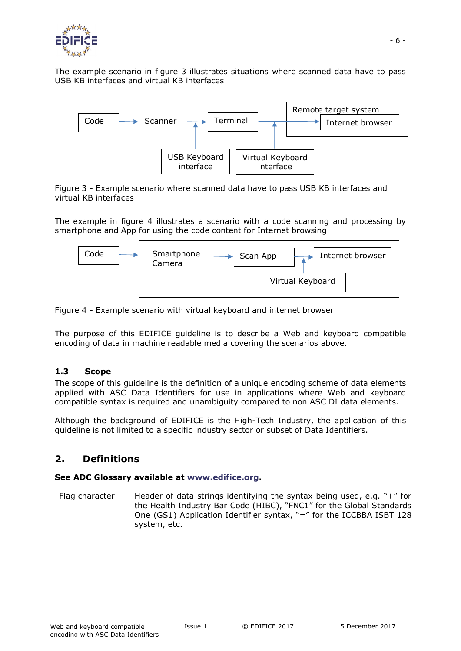

The example scenario in figure 3 illustrates situations where scanned data have to pass USB KB interfaces and virtual KB interfaces



<span id="page-5-2"></span>Figure 3 - Example scenario where scanned data have to pass USB KB interfaces and virtual KB interfaces

The example in figure 4 illustrates a scenario with a code scanning and processing by smartphone and App for using the code content for Internet browsing



<span id="page-5-3"></span>Figure 4 - Example scenario with virtual keyboard and internet browser

The purpose of this EDIFICE guideline is to describe a Web and keyboard compatible encoding of data in machine readable media covering the scenarios above.

### <span id="page-5-0"></span>**1.3 Scope**

The scope of this guideline is the definition of a unique encoding scheme of data elements applied with ASC Data Identifiers for use in applications where Web and keyboard compatible syntax is required and unambiguity compared to non ASC DI data elements.

Although the background of EDIFICE is the High-Tech Industry, the application of this guideline is not limited to a specific industry sector or subset of Data Identifiers.

# <span id="page-5-1"></span>**2. Definitions**

### **See ADC Glossary available at [www.edifice.org.](http://www.edifice.org/)**

Flag character Header of data strings identifying the syntax being used, e.g. " $+$ " for the Health Industry Bar Code (HIBC), "FNC1" for the Global Standards One (GS1) Application Identifier syntax, "=" for the ICCBBA ISBT 128 system, etc.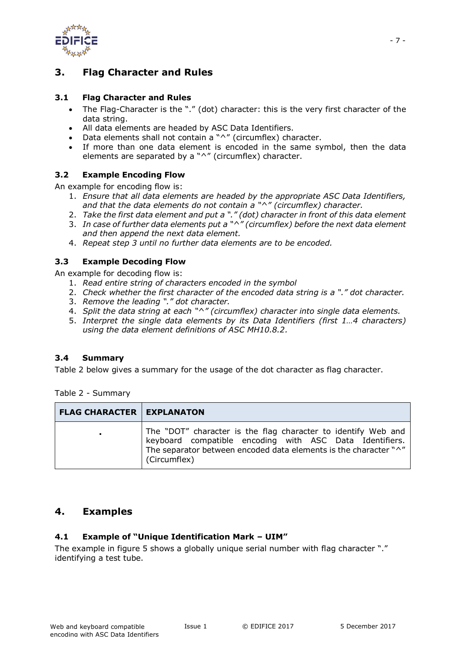

# <span id="page-6-0"></span>**3. Flag Character and Rules**

## <span id="page-6-1"></span>**3.1 Flag Character and Rules**

- The Flag-Character is the "." (dot) character: this is the very first character of the data string.
- All data elements are headed by ASC Data Identifiers.
- Data elements shall not contain a "^" (circumflex) character.
- If more than one data element is encoded in the same symbol, then the data elements are separated by a "^" (circumflex) character.

## <span id="page-6-2"></span>**3.2 Example Encoding Flow**

An example for encoding flow is:

- 1. *Ensure that all data elements are headed by the appropriate ASC Data Identifiers, and that the data elements do not contain a "^" (circumflex) character.*
- 2. *Take the first data element and put a "." (dot) character in front of this data element*
- 3. *In case of further data elements put a "^" (circumflex) before the next data element and then append the next data element.*
- 4. *Repeat step 3 until no further data elements are to be encoded.*

## <span id="page-6-3"></span>**3.3 Example Decoding Flow**

An example for decoding flow is:

- 1. *Read entire string of characters encoded in the symbol*
- 2. *Check whether the first character of the encoded data string is a "." dot character.*
- 3. *Remove the leading "." dot character.*
- 4. *Split the data string at each "^" (circumflex) character into single data elements.*
- 5. *Interpret the single data elements by its Data Identifiers (first 1…4 characters) using the data element definitions of ASC MH10.8.2.*

### <span id="page-6-4"></span>**3.4 Summary**

Table 2 below gives a summary for the usage of the dot character as flag character.

<span id="page-6-7"></span>Table 2 - Summary

| <b>FLAG CHARACTER   EXPLANATON</b> |                                                                                                                                                                                                              |
|------------------------------------|--------------------------------------------------------------------------------------------------------------------------------------------------------------------------------------------------------------|
| ٠.                                 | The "DOT" character is the flag character to identify Web and<br>keyboard compatible encoding with ASC Data Identifiers.<br>The separator between encoded data elements is the character "^"<br>(Circumflex) |

## <span id="page-6-5"></span>**4. Examples**

### <span id="page-6-6"></span>**4.1 Example of "Unique Identification Mark – UIM"**

The example in figure 5 shows a globally unique serial number with flag character "." identifying a test tube.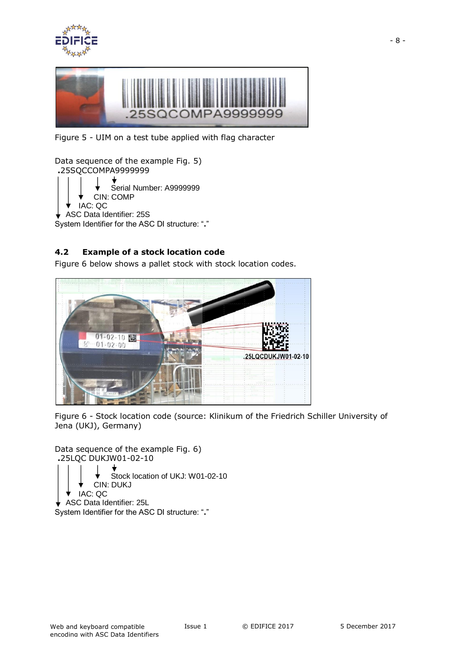



Figure 5 - UIM on a test tube applied with flag character

```
Data sequence of the example Fig. 5) 
.25SQCCOMPA9999999
               Serial Number: A9999999
           CIN: COMP 
      IAC: QC
   ASC Data Identifier: 25S
System Identifier for the ASC DI structure: "."
```
## <span id="page-7-0"></span>**4.2 Example of a stock location code**

Figure 6 below shows a pallet stock with stock location codes.



<span id="page-7-2"></span>Figure 6 - Stock location code (source: Klinikum of the Friedrich Schiller University of Jena (UKJ), Germany)

Data sequence of the example Fig. 6) **.**25LQC DUKJW01-02-10 Stock location of UKJ: W01-02-10 CIN: DUKJ IAC: QC ASC Data Identifier: 25L System Identifier for the ASC DI structure: "**.**"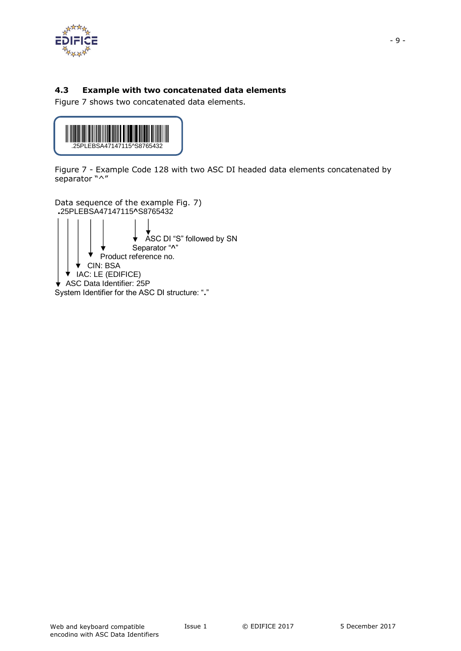

# <span id="page-8-0"></span>**4.3 Example with two concatenated data elements**

Figure 7 shows two concatenated data elements.



<span id="page-8-1"></span>Figure 7 - Example Code 128 with two ASC DI headed data elements concatenated by separator "^"

Data sequence of the example Fig. 7) **.**25PLEBSA47147115**^**S8765432 ASC DI "S" followed by SN Separator "**^**" Product reference no. CIN: BSA  $\blacktriangledown$  IAC: LE (EDIFICE) ASC Data Identifier: 25P System Identifier for the ASC DI structure: "**.**"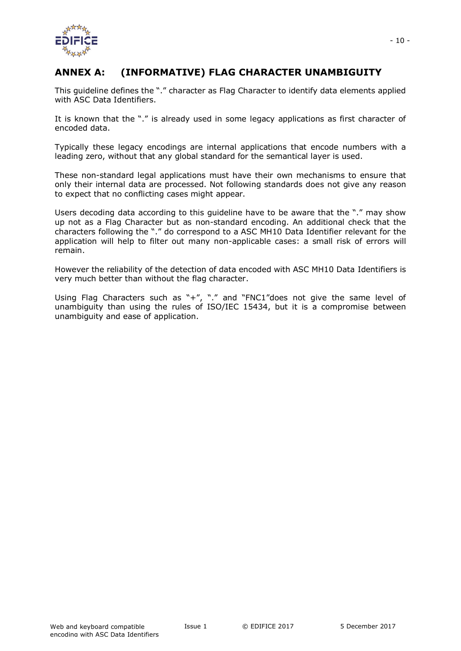

# <span id="page-9-0"></span>**ANNEX A: (INFORMATIVE) FLAG CHARACTER UNAMBIGUITY**

This guideline defines the "." character as Flag Character to identify data elements applied with ASC Data Identifiers.

It is known that the "." is already used in some legacy applications as first character of encoded data.

Typically these legacy encodings are internal applications that encode numbers with a leading zero, without that any global standard for the semantical layer is used.

These non-standard legal applications must have their own mechanisms to ensure that only their internal data are processed. Not following standards does not give any reason to expect that no conflicting cases might appear.

Users decoding data according to this guideline have to be aware that the "." may show up not as a Flag Character but as non-standard encoding. An additional check that the characters following the "." do correspond to a ASC MH10 Data Identifier relevant for the application will help to filter out many non-applicable cases: a small risk of errors will remain.

However the reliability of the detection of data encoded with ASC MH10 Data Identifiers is very much better than without the flag character.

Using Flag Characters such as "+", "." and "FNC1"does not give the same level of unambiguity than using the rules of ISO/IEC 15434, but it is a compromise between unambiguity and ease of application.